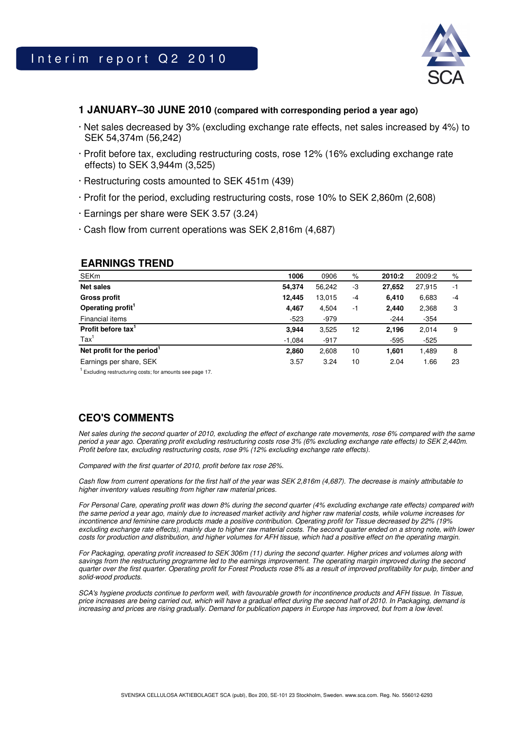

### **1 JANUARY–30 JUNE 2010 (compared with corresponding period a year ago)**

- · Net sales decreased by 3% (excluding exchange rate effects, net sales increased by 4%) to SEK 54,374m (56,242)
- · Profit before tax, excluding restructuring costs, rose 12% (16% excluding exchange rate effects) to SEK 3,944m (3,525)
- · Restructuring costs amounted to SEK 451m (439)
- · Profit for the period, excluding restructuring costs, rose 10% to SEK 2,860m (2,608)
- · Earnings per share were SEK 3.57 (3.24)
- · Cash flow from current operations was SEK 2,816m (4,687)

## **EARNINGS TREND**

| <b>SEKm</b>                            | 1006     | 0906   | $\%$ | 2010:2 | 2009:2 | %    |
|----------------------------------------|----------|--------|------|--------|--------|------|
| <b>Net sales</b>                       | 54,374   | 56,242 | -3   | 27,652 | 27,915 | $-1$ |
| <b>Gross profit</b>                    | 12,445   | 13,015 | -4   | 6,410  | 6,683  | $-4$ |
| Operating profit <sup>1</sup>          | 4,467    | 4,504  | $-1$ | 2,440  | 2,368  | 3    |
| Financial items                        | $-523$   | $-979$ |      | $-244$ | $-354$ |      |
| Profit before tax'                     | 3,944    | 3,525  | 12   | 2,196  | 2,014  | 9    |
| $\text{Tax}^1$                         | $-1,084$ | $-917$ |      | $-595$ | $-525$ |      |
| Net profit for the period <sup>1</sup> | 2,860    | 2,608  | 10   | 1,601  | 1,489  | 8    |
| Earnings per share, SEK                | 3.57     | 3.24   | 10   | 2.04   | 1.66   | 23   |

<sup>1</sup> Excluding restructuring costs; for amounts see page 17.

# **CEO'S COMMENTS**

Net sales during the second quarter of 2010, excluding the effect of exchange rate movements, rose 6% compared with the same period a year ago. Operating profit excluding restructuring costs rose 3% (6% excluding exchange rate effects) to SEK 2,440m. Profit before tax, excluding restructuring costs, rose 9% (12% excluding exchange rate effects).

Compared with the first quarter of 2010, profit before tax rose 26%.

Cash flow from current operations for the first half of the year was SEK 2,816m (4,687). The decrease is mainly attributable to higher inventory values resulting from higher raw material prices.

For Personal Care, operating profit was down 8% during the second quarter (4% excluding exchange rate effects) compared with the same period a year ago, mainly due to increased market activity and higher raw material costs, while volume increases for incontinence and feminine care products made a positive contribution. Operating profit for Tissue decreased by 22% (19% excluding exchange rate effects), mainly due to higher raw material costs. The second quarter ended on a strong note, with lower costs for production and distribution, and higher volumes for AFH tissue, which had a positive effect on the operating margin.

For Packaging, operating profit increased to SEK 306m (11) during the second quarter. Higher prices and volumes along with savings from the restructuring programme led to the earnings improvement. The operating margin improved during the second quarter over the first quarter. Operating profit for Forest Products rose 8% as a result of improved profitability for pulp, timber and solid-wood products.

SCA's hygiene products continue to perform well, with favourable growth for incontinence products and AFH tissue. In Tissue, price increases are being carried out, which will have a gradual effect during the second half of 2010. In Packaging, demand is increasing and prices are rising gradually. Demand for publication papers in Europe has improved, but from a low level.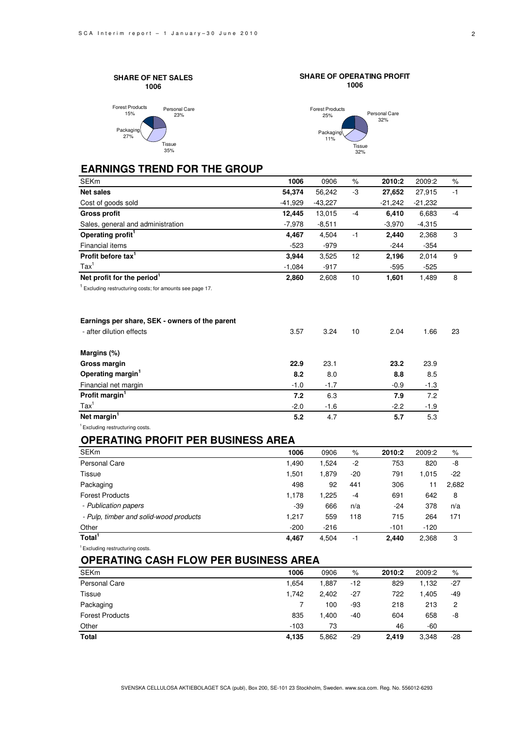



**Tissue** 32%

**5.2** 4.7 **5.7** 5.3

**SHARE OF OPERATING PROFIT**

## **EARNINGS TREND FOR THE GROUP**

 $35%$ 

| <b>SEKm</b>                                                          | 1006      | 0906     | %    | 2010:2    | 2009:2    | $\%$ |
|----------------------------------------------------------------------|-----------|----------|------|-----------|-----------|------|
| <b>Net sales</b>                                                     | 54,374    | 56,242   | -3   | 27,652    | 27,915    | $-1$ |
| Cost of goods sold                                                   | $-41,929$ | -43,227  |      | $-21,242$ | $-21,232$ |      |
| <b>Gross profit</b>                                                  | 12,445    | 13,015   | $-4$ | 6,410     | 6,683     | $-4$ |
| Sales, general and administration                                    | $-7,978$  | $-8,511$ |      | $-3,970$  | $-4,315$  |      |
| Operating profit <sup>1</sup>                                        | 4,467     | 4,504    | $-1$ | 2,440     | 2,368     | 3    |
| Financial items                                                      | $-523$    | -979     |      | $-244$    | -354      |      |
| Profit before tax <sup>1</sup>                                       | 3,944     | 3,525    | 12   | 2,196     | 2,014     | 9    |
| $\text{Tax}^1$                                                       | $-1,084$  | $-917$   |      | $-595$    | $-525$    |      |
| Net profit for the period <sup>1</sup>                               | 2,860     | 2,608    | 10   | 1,601     | 1,489     | 8    |
| <sup>1</sup> Excluding restructuring costs; for amounts see page 17. |           |          |      |           |           |      |
| Earnings per share, SEK - owners of the parent                       |           |          |      |           |           |      |
| - after dilution effects                                             | 3.57      | 3.24     | 10   | 2.04      | 1.66      | 23   |
| Margins (%)                                                          |           |          |      |           |           |      |
| Gross margin                                                         | 22.9      | 23.1     |      | 23.2      | 23.9      |      |
| Operating margin <sup>1</sup>                                        | 8.2       | 8.0      |      | 8.8       | 8.5       |      |
| Financial net margin                                                 | $-1.0$    | $-1.7$   |      | $-0.9$    | $-1.3$    |      |
| Profit margin <sup>1</sup>                                           | 7.2       | 6.3      |      | 7.9       | 7.2       |      |
| $\text{Tax}^1$                                                       | $-2.0$    | $-1.6$   |      | $-2.2$    | $-1.9$    |      |

### **OPERATING PROFIT PER BUSINESS AREA**

| <b>SEKm</b>                            | 1006   | 0906   | $\%$  | 2010:2 | 2009:2 | $\%$  |
|----------------------------------------|--------|--------|-------|--------|--------|-------|
| Personal Care                          | 1,490  | 1,524  | -2    | 753    | 820    | -8    |
| Tissue                                 | 1,501  | 1,879  | $-20$ | 791    | 1.015  | $-22$ |
| Packaging                              | 498    | 92     | 441   | 306    | 11     | 2,682 |
| <b>Forest Products</b>                 | 1,178  | 1,225  | -4    | 691    | 642    | 8     |
| - Publication papers                   | $-39$  | 666    | n/a   | -24    | 378    | n/a   |
| - Pulp, timber and solid-wood products | 1,217  | 559    | 118   | 715    | 264    | 171   |
| Other                                  | $-200$ | $-216$ |       | $-101$ | $-120$ |       |
| Total <sup>1</sup>                     | 4.467  | 4,504  | -1    | 2.440  | 2,368  | 3     |

<sup>1</sup> Excluding restructuring costs.

**Net margin** 

<sup>1</sup> Excluding restructuring costs.

## **OPERATING CASH FLOW PER BUSINESS AREA**

| <b>SEKm</b>            | 1006   | 0906  | $\%$  | 2010:2 | 2009:2 | %     |
|------------------------|--------|-------|-------|--------|--------|-------|
| Personal Care          | 1,654  | 1,887 | $-12$ | 829    | 1.132  | $-27$ |
| Tissue                 | 1,742  | 2,402 | $-27$ | 722    | 1.405  | -49   |
| Packaging              |        | 100   | -93   | 218    | 213    | 2     |
| <b>Forest Products</b> | 835    | 1,400 | -40   | 604    | 658    | -8    |
| Other                  | $-103$ | 73    |       | 46     | -60    |       |
| <b>Total</b>           | 4,135  | 5,862 | -29   | 2.419  | 3,348  | $-28$ |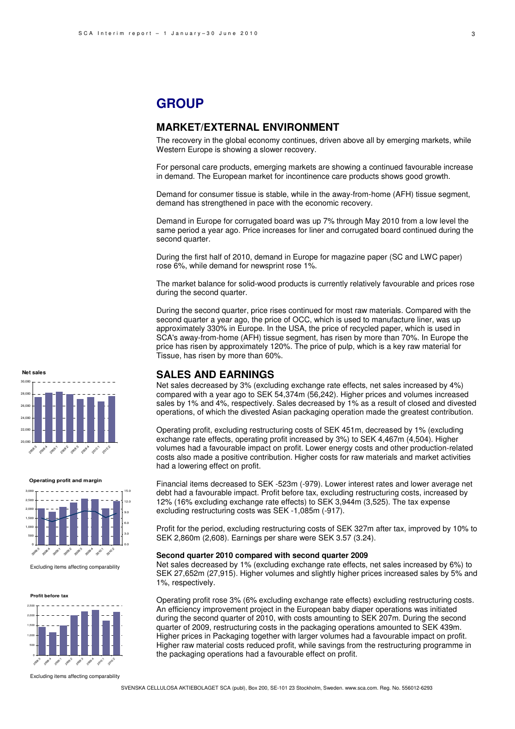# **GROUP**

## **MARKET/EXTERNAL ENVIRONMENT**

The recovery in the global economy continues, driven above all by emerging markets, while Western Europe is showing a slower recovery.

For personal care products, emerging markets are showing a continued favourable increase in demand. The European market for incontinence care products shows good growth.

Demand for consumer tissue is stable, while in the away-from-home (AFH) tissue segment, demand has strengthened in pace with the economic recovery.

Demand in Europe for corrugated board was up 7% through May 2010 from a low level the same period a year ago. Price increases for liner and corrugated board continued during the second quarter.

During the first half of 2010, demand in Europe for magazine paper (SC and LWC paper) rose 6%, while demand for newsprint rose 1%.

The market balance for solid-wood products is currently relatively favourable and prices rose during the second quarter.

During the second quarter, price rises continued for most raw materials. Compared with the second quarter a year ago, the price of OCC, which is used to manufacture liner, was up approximately 330% in Europe. In the USA, the price of recycled paper, which is used in SCA's away-from-home (AFH) tissue segment, has risen by more than 70%. In Europe the price has risen by approximately 120%. The price of pulp, which is a key raw material for Tissue, has risen by more than 60%.

## **SALES AND EARNINGS**

Net sales decreased by 3% (excluding exchange rate effects, net sales increased by 4%) compared with a year ago to SEK 54,374m (56,242). Higher prices and volumes increased sales by 1% and 4%, respectively. Sales decreased by 1% as a result of closed and divested operations, of which the divested Asian packaging operation made the greatest contribution.

Operating profit, excluding restructuring costs of SEK 451m, decreased by 1% (excluding exchange rate effects, operating profit increased by 3%) to SEK 4,467m (4,504). Higher volumes had a favourable impact on profit. Lower energy costs and other production-related costs also made a positive contribution. Higher costs for raw materials and market activities had a lowering effect on profit.

Financial items decreased to SEK -523m (-979). Lower interest rates and lower average net debt had a favourable impact. Profit before tax, excluding restructuring costs, increased by 12% (16% excluding exchange rate effects) to SEK 3,944m (3,525). The tax expense excluding restructuring costs was SEK -1,085m (-917).

Profit for the period, excluding restructuring costs of SEK 327m after tax, improved by 10% to SEK 2,860m (2,608). Earnings per share were SEK 3.57 (3.24).

#### **Second quarter 2010 compared with second quarter 2009**

Net sales decreased by 1% (excluding exchange rate effects, net sales increased by 6%) to SEK 27,652m (27,915). Higher volumes and slightly higher prices increased sales by 5% and 1%, respectively.

Operating profit rose 3% (6% excluding exchange rate effects) excluding restructuring costs. An efficiency improvement project in the European baby diaper operations was initiated during the second quarter of 2010, with costs amounting to SEK 207m. During the second quarter of 2009, restructuring costs in the packaging operations amounted to SEK 439m. Higher prices in Packaging together with larger volumes had a favourable impact on profit. Higher raw material costs reduced profit, while savings from the restructuring programme in the packaging operations had a favourable effect on profit.



**Operating profit and margin** 0 500 1,000 1,500 2,000 2,500 3,000 208.3 2009:4  $\mathcal{S}$  $x^2$  $\mathcal{S}$ 209 2010:1 2010:2 0.0 3.0 6.0 9.0 12.0 15.0

Excluding items affecting comparability

**Profit before tax**



Excluding items affecting comparability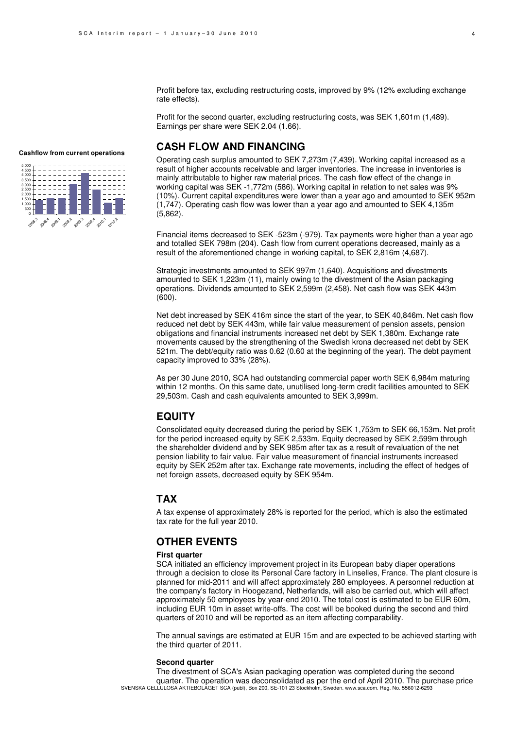Profit before tax, excluding restructuring costs, improved by 9% (12% excluding exchange rate effects).

Profit for the second quarter, excluding restructuring costs, was SEK 1,601m (1,489). Earnings per share were SEK 2.04 (1.66).

## **CASH FLOW AND FINANCING**

Operating cash surplus amounted to SEK 7,273m (7,439). Working capital increased as a result of higher accounts receivable and larger inventories. The increase in inventories is mainly attributable to higher raw material prices. The cash flow effect of the change in working capital was SEK -1,772m (586). Working capital in relation to net sales was 9% (10%). Current capital expenditures were lower than a year ago and amounted to SEK 952m (1,747). Operating cash flow was lower than a year ago and amounted to SEK 4,135m (5,862).

Financial items decreased to SEK -523m (-979). Tax payments were higher than a year ago and totalled SEK 798m (204). Cash flow from current operations decreased, mainly as a result of the aforementioned change in working capital, to SEK 2,816m (4,687).

Strategic investments amounted to SEK 997m (1,640). Acquisitions and divestments amounted to SEK 1,223m (11), mainly owing to the divestment of the Asian packaging operations. Dividends amounted to SEK 2,599m (2,458). Net cash flow was SEK 443m (600).

Net debt increased by SEK 416m since the start of the year, to SEK 40,846m. Net cash flow reduced net debt by SEK 443m, while fair value measurement of pension assets, pension obligations and financial instruments increased net debt by SEK 1,380m. Exchange rate movements caused by the strengthening of the Swedish krona decreased net debt by SEK 521m. The debt/equity ratio was 0.62 (0.60 at the beginning of the year). The debt payment capacity improved to 33% (28%).

As per 30 June 2010, SCA had outstanding commercial paper worth SEK 6,984m maturing within 12 months. On this same date, unutilised long-term credit facilities amounted to SEK 29,503m. Cash and cash equivalents amounted to SEK 3,999m.

### **EQUITY**

Consolidated equity decreased during the period by SEK 1,753m to SEK 66,153m. Net profit for the period increased equity by SEK 2,533m. Equity decreased by SEK 2,599m through the shareholder dividend and by SEK 985m after tax as a result of revaluation of the net pension liability to fair value. Fair value measurement of financial instruments increased equity by SEK 252m after tax. Exchange rate movements, including the effect of hedges of net foreign assets, decreased equity by SEK 954m.

### **TAX**

A tax expense of approximately 28% is reported for the period, which is also the estimated tax rate for the full year 2010.

## **OTHER EVENTS**

### **First quarter**

SCA initiated an efficiency improvement project in its European baby diaper operations through a decision to close its Personal Care factory in Linselles, France. The plant closure is planned for mid-2011 and will affect approximately 280 employees. A personnel reduction at the company's factory in Hoogezand, Netherlands, will also be carried out, which will affect approximately 50 employees by year-end 2010. The total cost is estimated to be EUR 60m, including EUR 10m in asset write-offs. The cost will be booked during the second and third quarters of 2010 and will be reported as an item affecting comparability.

The annual savings are estimated at EUR 15m and are expected to be achieved starting with the third quarter of 2011.

#### **Second quarter**

SVENSKA CELLULOSA AKTIEBOLAGET SCA (publ), Box 200, SE-101 23 Stockholm, Sweden. www.sca.com. Reg. No. 556012-6293 The divestment of SCA's Asian packaging operation was completed during the second quarter. The operation was deconsolidated as per the end of April 2010. The purchase price

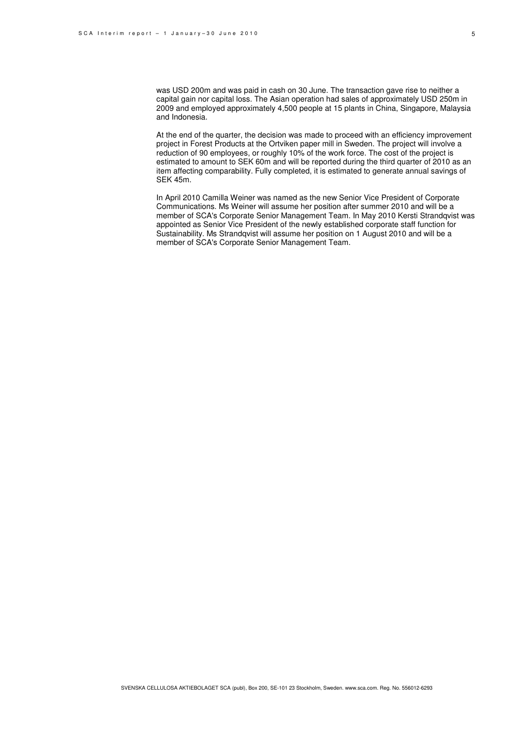was USD 200m and was paid in cash on 30 June. The transaction gave rise to neither a capital gain nor capital loss. The Asian operation had sales of approximately USD 250m in 2009 and employed approximately 4,500 people at 15 plants in China, Singapore, Malaysia and Indonesia.

At the end of the quarter, the decision was made to proceed with an efficiency improvement project in Forest Products at the Ortviken paper mill in Sweden. The project will involve a reduction of 90 employees, or roughly 10% of the work force. The cost of the project is estimated to amount to SEK 60m and will be reported during the third quarter of 2010 as an item affecting comparability. Fully completed, it is estimated to generate annual savings of SEK 45m.

In April 2010 Camilla Weiner was named as the new Senior Vice President of Corporate Communications. Ms Weiner will assume her position after summer 2010 and will be a member of SCA's Corporate Senior Management Team. In May 2010 Kersti Strandqvist was appointed as Senior Vice President of the newly established corporate staff function for Sustainability. Ms Strandqvist will assume her position on 1 August 2010 and will be a member of SCA's Corporate Senior Management Team.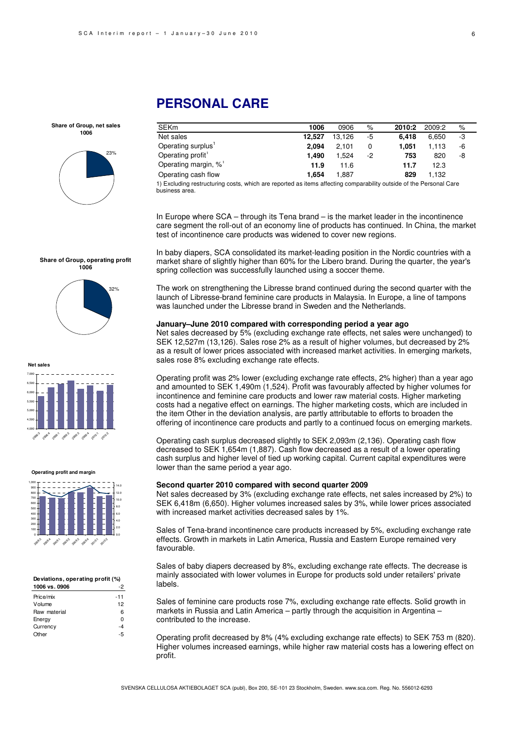business area.

# **PERSONAL CARE**

**Share of Group, net sales 1006**



| <b>SEKm</b>                                                                                                        | 1006   | 0906   | $\%$ | 2010:2 | 2009:2 | $\%$ |  |
|--------------------------------------------------------------------------------------------------------------------|--------|--------|------|--------|--------|------|--|
| Net sales                                                                                                          | 12.527 | 13.126 | -5   | 6.418  | 6.650  | -3   |  |
| Operating surplus'                                                                                                 | 2.094  | 2.101  | 0    | 1.051  | 1.113  | -6   |  |
| Operating profit                                                                                                   | 1.490  | 1.524  | -2   | 753    | 820    | -8   |  |
| Operating margin, %                                                                                                | 11.9   | 11.6   |      | 11.7   | 12.3   |      |  |
| Operating cash flow                                                                                                | 1.654  | 1.887  |      | 829    | 1.132  |      |  |
| 1) Excluding restructuring costs, which are reported as items affecting comparability outside of the Personal Care |        |        |      |        |        |      |  |

In Europe where SCA – through its Tena brand – is the market leader in the incontinence care segment the roll-out of an economy line of products has continued. In China, the market test of incontinence care products was widened to cover new regions.

In baby diapers, SCA consolidated its market-leading position in the Nordic countries with a market share of slightly higher than 60% for the Libero brand. During the quarter, the year's spring collection was successfully launched using a soccer theme.

The work on strengthening the Libresse brand continued during the second quarter with the launch of Libresse-brand feminine care products in Malaysia. In Europe, a line of tampons was launched under the Libresse brand in Sweden and the Netherlands.

#### **January–June 2010 compared with corresponding period a year ago**

Net sales decreased by 5% (excluding exchange rate effects, net sales were unchanged) to SEK 12,527m (13,126). Sales rose 2% as a result of higher volumes, but decreased by 2% as a result of lower prices associated with increased market activities. In emerging markets, sales rose 8% excluding exchange rate effects.

Operating profit was 2% lower (excluding exchange rate effects, 2% higher) than a year ago and amounted to SEK 1,490m (1,524). Profit was favourably affected by higher volumes for incontinence and feminine care products and lower raw material costs. Higher marketing costs had a negative effect on earnings. The higher marketing costs, which are included in the item Other in the deviation analysis, are partly attributable to efforts to broaden the offering of incontinence care products and partly to a continued focus on emerging markets.

Operating cash surplus decreased slightly to SEK 2,093m (2,136). Operating cash flow decreased to SEK 1,654m (1,887). Cash flow decreased as a result of a lower operating cash surplus and higher level of tied up working capital. Current capital expenditures were lower than the same period a year ago.

#### **Second quarter 2010 compared with second quarter 2009**

Net sales decreased by 3% (excluding exchange rate effects, net sales increased by 2%) to SEK 6,418m (6,650). Higher volumes increased sales by 3%, while lower prices associated with increased market activities decreased sales by 1%.

Sales of Tena-brand incontinence care products increased by 5%, excluding exchange rate effects. Growth in markets in Latin America, Russia and Eastern Europe remained very favourable.

Sales of baby diapers decreased by 8%, excluding exchange rate effects. The decrease is mainly associated with lower volumes in Europe for products sold under retailers' private labels.

Sales of feminine care products rose 7%, excluding exchange rate effects. Solid growth in markets in Russia and Latin America – partly through the acquisition in Argentina – contributed to the increase.

Operating profit decreased by 8% (4% excluding exchange rate effects) to SEK 753 m (820). Higher volumes increased earnings, while higher raw material costs has a lowering effect on profit.

#### **Share of Group, operating profit 1006**



**Net sales**



**Operating profit and margin**



#### **Deviations, operating profit (%) 1006 vs. 0906** -2

| Price/mix    | $-11$ |
|--------------|-------|
| Volume       | 12    |
| Raw material | 6     |
| Energy       | ŋ     |
| Currency     | -4    |
| Other        |       |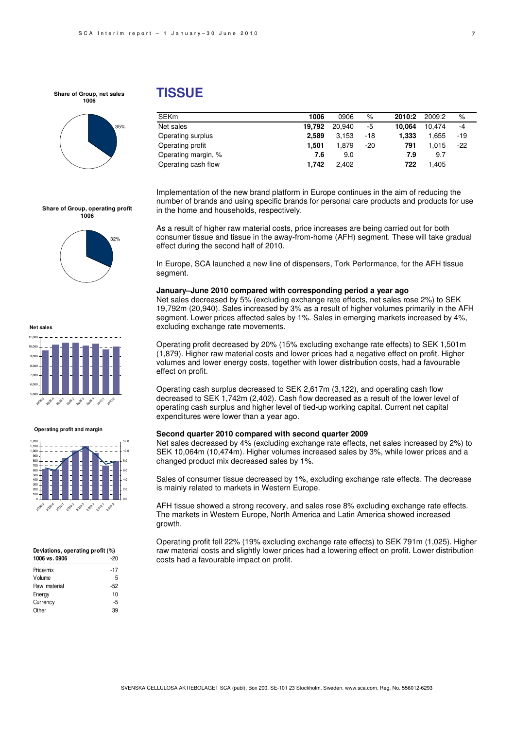**Share of Group, net sales 1006**



## **TISSUE**

| <b>SEKm</b>         | 1006   | 0906   | $\%$  | 2010:2 | 2009:2 | %     |
|---------------------|--------|--------|-------|--------|--------|-------|
| Net sales           | 19.792 | 20.940 | -5    | 10.064 | 10.474 | $-4$  |
| Operating surplus   | 2.589  | 3.153  | -18   | 1.333  | 1.655  | -19   |
| Operating profit    | 1.501  | 1.879  | $-20$ | 791    | 1.015  | $-22$ |
| Operating margin, % | 7.6    | 9.0    |       | 7.9    | 9.7    |       |
| Operating cash flow | 1.742  | 2.402  |       | 722    | 1.405  |       |

Implementation of the new brand platform in Europe continues in the aim of reducing the number of brands and using specific brands for personal care products and products for use in the home and households, respectively.

As a result of higher raw material costs, price increases are being carried out for both consumer tissue and tissue in the away-from-home (AFH) segment. These will take gradual effect during the second half of 2010.

In Europe, SCA launched a new line of dispensers, Tork Performance, for the AFH tissue segment.

#### **January–June 2010 compared with corresponding period a year ago**

Net sales decreased by 5% (excluding exchange rate effects, net sales rose 2%) to SEK 19,792m (20,940). Sales increased by 3% as a result of higher volumes primarily in the AFH segment. Lower prices affected sales by 1%. Sales in emerging markets increased by 4%, excluding exchange rate movements.

Operating profit decreased by 20% (15% excluding exchange rate effects) to SEK 1,501m (1,879). Higher raw material costs and lower prices had a negative effect on profit. Higher volumes and lower energy costs, together with lower distribution costs, had a favourable effect on profit.

Operating cash surplus decreased to SEK 2,617m (3,122), and operating cash flow decreased to SEK 1,742m (2,402). Cash flow decreased as a result of the lower level of operating cash surplus and higher level of tied-up working capital. Current net capital expenditures were lower than a year ago.

#### **Second quarter 2010 compared with second quarter 2009**

Net sales decreased by 4% (excluding exchange rate effects, net sales increased by 2%) to SEK 10,064m (10,474m). Higher volumes increased sales by 3%, while lower prices and a changed product mix decreased sales by 1%.

Sales of consumer tissue decreased by 1%, excluding exchange rate effects. The decrease is mainly related to markets in Western Europe.

AFH tissue showed a strong recovery, and sales rose 8% excluding exchange rate effects. The markets in Western Europe, North America and Latin America showed increased growth.

Operating profit fell 22% (19% excluding exchange rate effects) to SEK 791m (1,025). Higher raw material costs and slightly lower prices had a lowering effect on profit. Lower distribution costs had a favourable impact on profit.







**Net sales**

#### **Operating profit and margin**



| Deviations, operating profit (%) |     |
|----------------------------------|-----|
| 1006 vs. 0906                    | -20 |

| -17 |
|-----|
| 5   |
| -52 |
| 10  |
| -5  |
| 39  |
|     |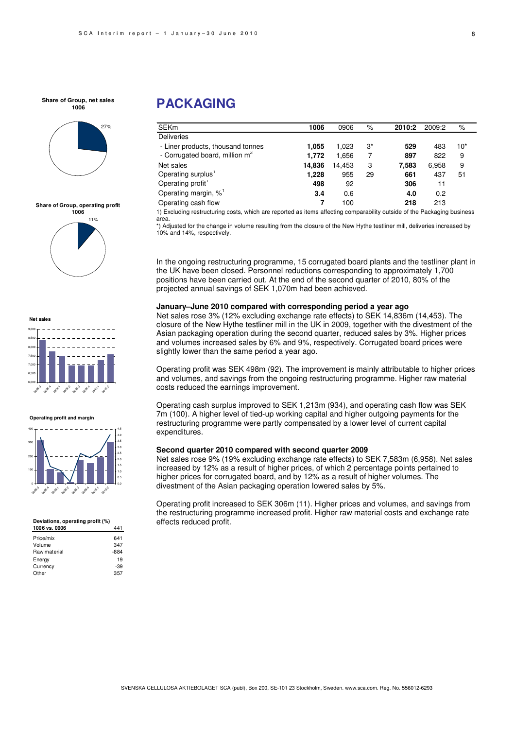#### **Share of Group, net sales 1006**



**Share of Group, operating profit**



**Net sales**



#### **Operating profit and margin**



#### **Deviations, operating profit (%)**

| 1006 vs. 0906 |        |
|---------------|--------|
| Price/mix     | 641    |
| Volume        | 347    |
| Raw material  | $-884$ |
| Energy        | 19     |
| Currency      | -39    |
| Other         | 357    |
|               |        |

# **PACKAGING**

| <b>SEKm</b>                                | 1006   | 0906   | %  | 2010:2 | 2009:2 | %     |
|--------------------------------------------|--------|--------|----|--------|--------|-------|
| <b>Deliveries</b>                          |        |        |    |        |        |       |
| - Liner products, thousand tonnes          | 1.055  | 1.023  | 3* | 529    | 483    | $10*$ |
| - Corrugated board, million m <sup>2</sup> | 1.772  | 1.656  |    | 897    | 822    | 9     |
| Net sales                                  | 14.836 | 14.453 | 3  | 7.583  | 6,958  | 9     |
| Operating surplus <sup>1</sup>             | 1.228  | 955    | 29 | 661    | 437    | 51    |
| Operating profit <sup>1</sup>              | 498    | 92     |    | 306    | 11     |       |
| Operating margin, % <sup>1</sup>           | 3.4    | 0.6    |    | 4.0    | 0.2    |       |
| Operating cash flow                        | 7      | 100    |    | 218    | 213    |       |
| .                                          |        |        |    |        |        |       |

1) Excluding restructuring costs, which are reported as items affecting comparability outside of the Packaging business area.

\*) Adjusted for the change in volume resulting from the closure of the New Hythe testliner mill, deliveries increased by 10% and 14%, respectively.

In the ongoing restructuring programme, 15 corrugated board plants and the testliner plant in the UK have been closed. Personnel reductions corresponding to approximately 1,700 positions have been carried out. At the end of the second quarter of 2010, 80% of the projected annual savings of SEK 1,070m had been achieved.

#### **January–June 2010 compared with corresponding period a year ago**

Net sales rose 3% (12% excluding exchange rate effects) to SEK 14,836m (14,453). The closure of the New Hythe testliner mill in the UK in 2009, together with the divestment of the Asian packaging operation during the second quarter, reduced sales by 3%. Higher prices and volumes increased sales by 6% and 9%, respectively. Corrugated board prices were slightly lower than the same period a year ago.

Operating profit was SEK 498m (92). The improvement is mainly attributable to higher prices and volumes, and savings from the ongoing restructuring programme. Higher raw material costs reduced the earnings improvement.

Operating cash surplus improved to SEK 1,213m (934), and operating cash flow was SEK 7m (100). A higher level of tied-up working capital and higher outgoing payments for the restructuring programme were partly compensated by a lower level of current capital expenditures.

#### **Second quarter 2010 compared with second quarter 2009**

Net sales rose 9% (19% excluding exchange rate effects) to SEK 7,583m (6,958). Net sales increased by 12% as a result of higher prices, of which 2 percentage points pertained to higher prices for corrugated board, and by 12% as a result of higher volumes. The divestment of the Asian packaging operation lowered sales by 5%.

Operating profit increased to SEK 306m (11). Higher prices and volumes, and savings from the restructuring programme increased profit. Higher raw material costs and exchange rate effects reduced profit.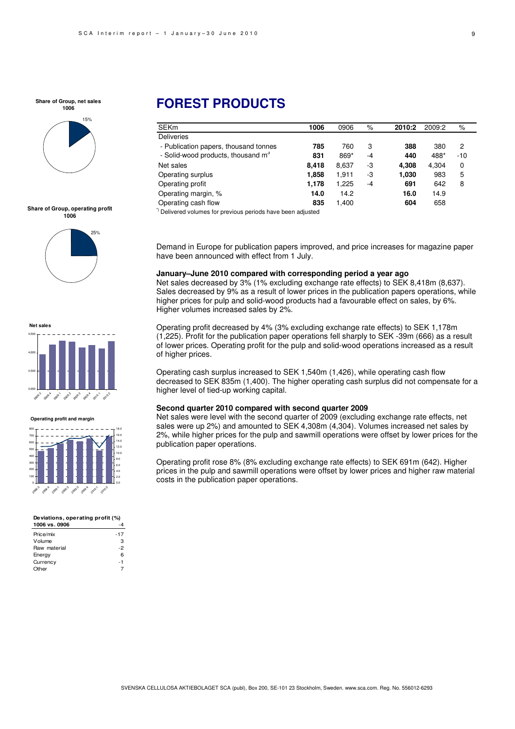**Share of Group, net sales 1006**



**Share of Group, operating profit 1006**



**Net sale** 3,000 3,500 4,000 4,500 2009:3 2008:4 20<sup>9</sup> 2093 2093 200<sup>9.4</sup> 2010.1  $e^{\alpha^{\mathcal{O}^{\mathcal{P}}}}$ 

**Operating profit and margin**



| Deviations, operating profit (%) |     |  |  |  |
|----------------------------------|-----|--|--|--|
| 1006 vs. 0906                    |     |  |  |  |
| Price/mix                        | -17 |  |  |  |
| Volume                           | з   |  |  |  |
| Raw material                     | -2  |  |  |  |
| Energy                           | ĥ   |  |  |  |
| Currency                         | - 1 |  |  |  |
| ∩ther                            |     |  |  |  |

# **FOREST PRODUCTS**

| <b>SEKm</b>                                    | 1006  | 0906  | %    | 2010:2 | 2009:2 | %     |  |
|------------------------------------------------|-------|-------|------|--------|--------|-------|--|
| <b>Deliveries</b>                              |       |       |      |        |        |       |  |
| - Publication papers, thousand tonnes          | 785   | 760   | 3    | 388    | 380    | 2     |  |
| - Solid-wood products, thousand m <sup>3</sup> | 831   | 869*  | $-4$ | 440    | 488*   | $-10$ |  |
| Net sales                                      | 8.418 | 8,637 | -3   | 4.308  | 4.304  | 0     |  |
| Operating surplus                              | 1,858 | 1,911 | -3   | 1,030  | 983    | 5     |  |
| Operating profit                               | 1.178 | 1,225 | $-4$ | 691    | 642    | 8     |  |
| Operating margin, %                            | 14.0  | 14.2  |      | 16.0   | 14.9   |       |  |
| Operating cash flow                            | 835   | 1.400 |      | 604    | 658    |       |  |
|                                                |       |       |      |        |        |       |  |

\*) Delivered volumes for previous periods have been adjusted

Demand in Europe for publication papers improved, and price increases for magazine paper have been announced with effect from 1 July.

#### **January–June 2010 compared with corresponding period a year ago**

Net sales decreased by 3% (1% excluding exchange rate effects) to SEK 8,418m (8,637). Sales decreased by 9% as a result of lower prices in the publication papers operations, while higher prices for pulp and solid-wood products had a favourable effect on sales, by 6%. Higher volumes increased sales by 2%.

Operating profit decreased by 4% (3% excluding exchange rate effects) to SEK 1,178m (1,225). Profit for the publication paper operations fell sharply to SEK -39m (666) as a result of lower prices. Operating profit for the pulp and solid-wood operations increased as a result of higher prices.

Operating cash surplus increased to SEK 1,540m (1,426), while operating cash flow decreased to SEK 835m (1,400). The higher operating cash surplus did not compensate for a higher level of tied-up working capital.

#### **Second quarter 2010 compared with second quarter 2009**

Net sales were level with the second quarter of 2009 (excluding exchange rate effects, net sales were up 2%) and amounted to SEK 4,308m (4,304). Volumes increased net sales by 2%, while higher prices for the pulp and sawmill operations were offset by lower prices for the publication paper operations.

Operating profit rose 8% (8% excluding exchange rate effects) to SEK 691m (642). Higher prices in the pulp and sawmill operations were offset by lower prices and higher raw material costs in the publication paper operations.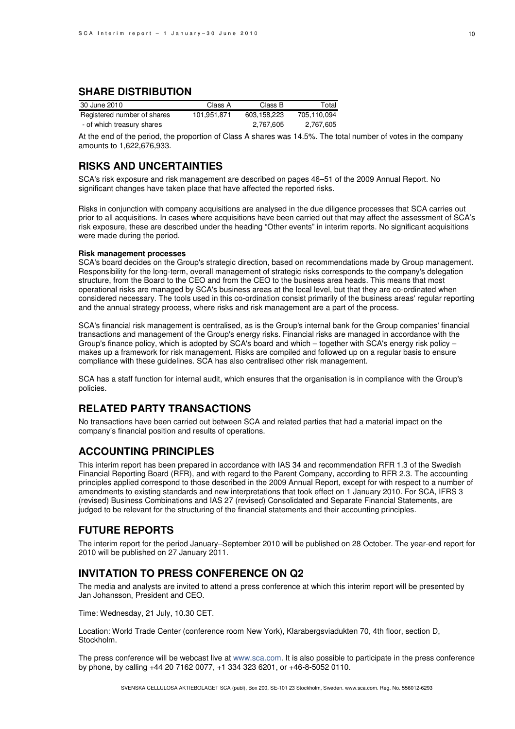## **SHARE DISTRIBUTION**

| 30 June 2010                | Class A     | Class B     | Total       |
|-----------------------------|-------------|-------------|-------------|
| Registered number of shares | 101.951.871 | 603.158.223 | 705.110.094 |
| - of which treasury shares  |             | 2,767,605   | 2,767,605   |

At the end of the period, the proportion of Class A shares was 14.5%. The total number of votes in the company amounts to 1,622,676,933.

## **RISKS AND UNCERTAINTIES**

SCA's risk exposure and risk management are described on pages 46–51 of the 2009 Annual Report. No significant changes have taken place that have affected the reported risks.

Risks in conjunction with company acquisitions are analysed in the due diligence processes that SCA carries out prior to all acquisitions. In cases where acquisitions have been carried out that may affect the assessment of SCA's risk exposure, these are described under the heading "Other events" in interim reports. No significant acquisitions were made during the period.

#### **Risk management processes**

SCA's board decides on the Group's strategic direction, based on recommendations made by Group management. Responsibility for the long-term, overall management of strategic risks corresponds to the company's delegation structure, from the Board to the CEO and from the CEO to the business area heads. This means that most operational risks are managed by SCA's business areas at the local level, but that they are co-ordinated when considered necessary. The tools used in this co-ordination consist primarily of the business areas' regular reporting and the annual strategy process, where risks and risk management are a part of the process.

SCA's financial risk management is centralised, as is the Group's internal bank for the Group companies' financial transactions and management of the Group's energy risks. Financial risks are managed in accordance with the Group's finance policy, which is adopted by SCA's board and which – together with SCA's energy risk policy – makes up a framework for risk management. Risks are compiled and followed up on a regular basis to ensure compliance with these guidelines. SCA has also centralised other risk management.

SCA has a staff function for internal audit, which ensures that the organisation is in compliance with the Group's policies.

## **RELATED PARTY TRANSACTIONS**

No transactions have been carried out between SCA and related parties that had a material impact on the company's financial position and results of operations.

### **ACCOUNTING PRINCIPLES**

This interim report has been prepared in accordance with IAS 34 and recommendation RFR 1.3 of the Swedish Financial Reporting Board (RFR), and with regard to the Parent Company, according to RFR 2.3. The accounting principles applied correspond to those described in the 2009 Annual Report, except for with respect to a number of amendments to existing standards and new interpretations that took effect on 1 January 2010. For SCA, IFRS 3 (revised) Business Combinations and IAS 27 (revised) Consolidated and Separate Financial Statements, are judged to be relevant for the structuring of the financial statements and their accounting principles.

## **FUTURE REPORTS**

The interim report for the period January–September 2010 will be published on 28 October. The year-end report for 2010 will be published on 27 January 2011.

## **INVITATION TO PRESS CONFERENCE ON Q2**

The media and analysts are invited to attend a press conference at which this interim report will be presented by Jan Johansson, President and CEO.

Time: Wednesday, 21 July, 10.30 CET.

Location: World Trade Center (conference room New York), Klarabergsviadukten 70, 4th floor, section D, Stockholm.

The press conference will be webcast live at www.sca.com. It is also possible to participate in the press conference by phone, by calling +44 20 7162 0077, +1 334 323 6201, or +46-8-5052 0110.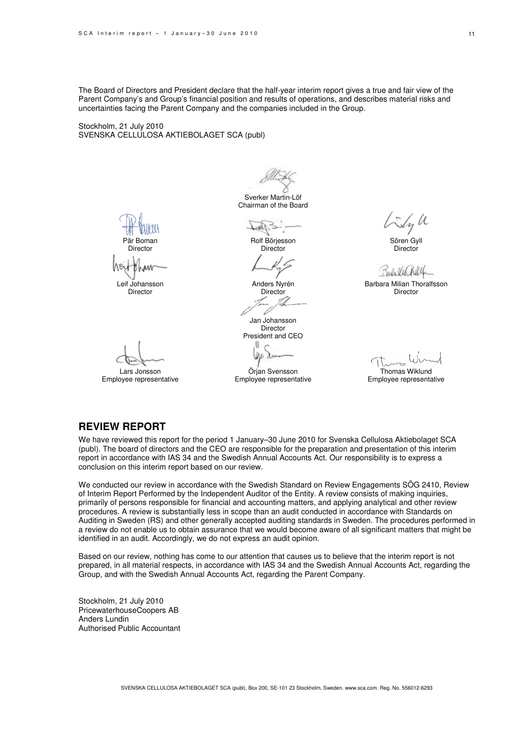The Board of Directors and President declare that the half-year interim report gives a true and fair view of the Parent Company's and Group's financial position and results of operations, and describes material risks and uncertainties facing the Parent Company and the companies included in the Group.

Stockholm, 21 July 2010 SVENSKA CELLULOSA AKTIEBOLAGET SCA (publ)

Sverker Martin-Löf Chairman of the Board

 $L_{\rm{max}}$ Rolf Börjesson

**Director** 

Anders Nyrén **Director** 

D Jan Johansson Director President and CEO

Örjan Svensson Employee representative

Sly U Sören Gyll

**Director** Bub Vil hell

Barbara Milian Thoralfsson Director

Thomas Wiklund

Employee representative

## **REVIEW REPORT**

Pär Boman **Director** 

Leif Johansson **Director** 

Lars Jonsson Employee representative

We have reviewed this report for the period 1 January–30 June 2010 for Svenska Cellulosa Aktiebolaget SCA (publ). The board of directors and the CEO are responsible for the preparation and presentation of this interim report in accordance with IAS 34 and the Swedish Annual Accounts Act. Our responsibility is to express a conclusion on this interim report based on our review.

We conducted our review in accordance with the Swedish Standard on Review Engagements SÖG 2410, Review of Interim Report Performed by the Independent Auditor of the Entity. A review consists of making inquiries, primarily of persons responsible for financial and accounting matters, and applying analytical and other review procedures. A review is substantially less in scope than an audit conducted in accordance with Standards on Auditing in Sweden (RS) and other generally accepted auditing standards in Sweden. The procedures performed in a review do not enable us to obtain assurance that we would become aware of all significant matters that might be identified in an audit. Accordingly, we do not express an audit opinion.

Based on our review, nothing has come to our attention that causes us to believe that the interim report is not prepared, in all material respects, in accordance with IAS 34 and the Swedish Annual Accounts Act, regarding the Group, and with the Swedish Annual Accounts Act, regarding the Parent Company.

Stockholm, 21 July 2010 PricewaterhouseCoopers AB Anders Lundin Authorised Public Accountant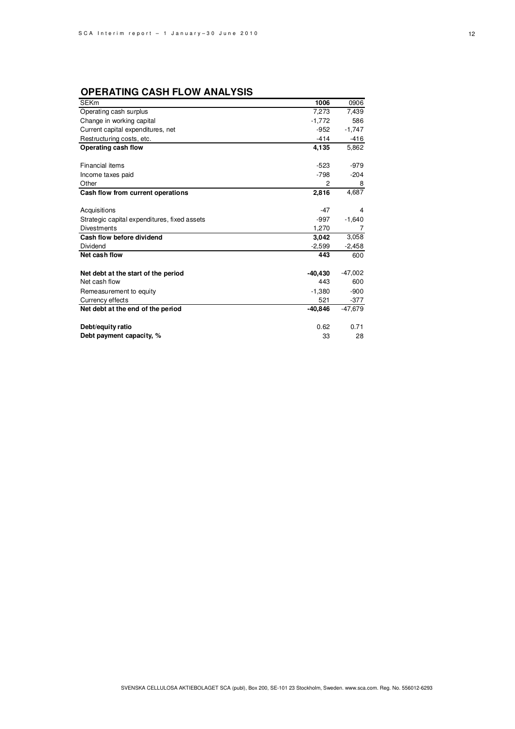## **OPERATING CASH FLOW ANALYSIS**

| <b>SEKm</b>                                  | 1006      | 0906      |
|----------------------------------------------|-----------|-----------|
| Operating cash surplus                       | 7,273     | 7,439     |
| Change in working capital                    | $-1,772$  | 586       |
| Current capital expenditures, net            | $-952$    | $-1,747$  |
| Restructuring costs, etc.                    | $-414$    | $-416$    |
| Operating cash flow                          | 4,135     | 5,862     |
|                                              |           |           |
| Financial items                              | $-523$    | -979      |
| Income taxes paid                            | $-798$    | $-204$    |
| Other                                        | 2         | 8         |
| Cash flow from current operations            | 2,816     | 4,687     |
|                                              |           |           |
| Acquisitions                                 | $-47$     | 4         |
| Strategic capital expenditures, fixed assets | -997      | $-1,640$  |
| <b>Divestments</b>                           | 1,270     | 7         |
| Cash flow before dividend                    | 3,042     | 3,058     |
| Dividend                                     | $-2,599$  | $-2,458$  |
| Net cash flow                                | 443       | 600       |
|                                              |           |           |
| Net debt at the start of the period          | -40,430   | $-47,002$ |
| Net cash flow                                | 443       | 600       |
| Remeasurement to equity                      | $-1.380$  | $-900$    |
| Currency effects                             | 521       | $-377$    |
| Net debt at the end of the period            | $-40,846$ | $-47,679$ |
|                                              |           |           |
| Debt/equity ratio                            | 0.62      | 0.71      |
| Debt payment capacity, %                     | 33        | 28        |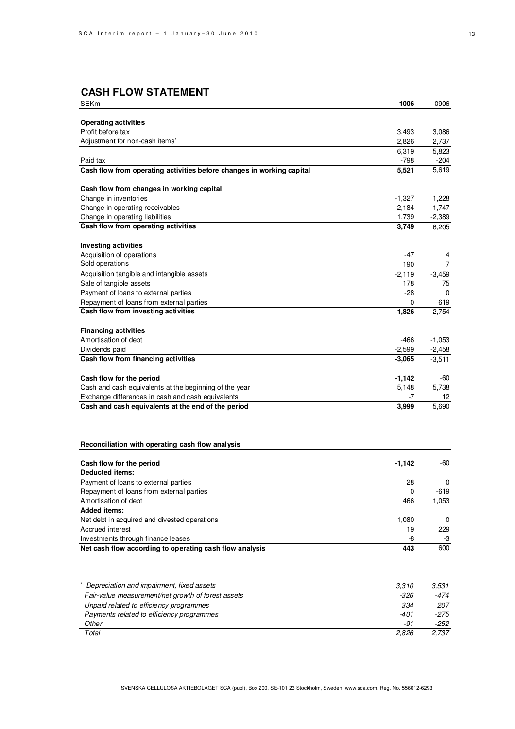# **CASH FLOW STATEMENT**

| SEKm                                                                  | 1006            | 0906          |
|-----------------------------------------------------------------------|-----------------|---------------|
|                                                                       |                 |               |
| <b>Operating activities</b>                                           |                 |               |
| Profit before tax                                                     | 3,493           | 3,086         |
| Adjustment for non-cash items <sup>1</sup>                            | 2,826           | 2,737         |
| Paid tax                                                              | 6,319<br>$-798$ | 5,823<br>-204 |
| Cash flow from operating activities before changes in working capital | 5,521           | 5,619         |
|                                                                       |                 |               |
| Cash flow from changes in working capital                             |                 |               |
| Change in inventories                                                 | $-1,327$        | 1,228         |
| Change in operating receivables                                       | $-2,184$        | 1,747         |
| Change in operating liabilities                                       | 1,739           | $-2,389$      |
| Cash flow from operating activities                                   | 3,749           | 6,205         |
|                                                                       |                 |               |
| <b>Investing activities</b><br>Acquisition of operations              | $-47$           | 4             |
| Sold operations                                                       | 190             | 7             |
| Acquisition tangible and intangible assets                            | $-2,119$        | $-3,459$      |
| Sale of tangible assets                                               | 178             | 75            |
| Payment of loans to external parties                                  | $-28$           | 0             |
| Repayment of loans from external parties                              | 0               | 619           |
| Cash flow from investing activities                                   | $-1,826$        | $-2,754$      |
|                                                                       |                 |               |
| <b>Financing activities</b>                                           |                 |               |
| Amortisation of debt                                                  | -466            | $-1,053$      |
| Dividends paid                                                        | $-2,599$        | $-2,458$      |
| Cash flow from financing activities                                   | -3,065          | $-3,511$      |
| Cash flow for the period                                              | -1,142          | -60           |
| Cash and cash equivalents at the beginning of the year                | 5,148           | 5,738         |
| Exchange differences in cash and cash equivalents                     | -7              | 12            |
| Cash and cash equivalents at the end of the period                    | 3,999           | 5,690         |
|                                                                       |                 |               |
| Reconciliation with operating cash flow analysis                      |                 |               |
|                                                                       |                 | -60           |
| Cash flow for the period<br><b>Deducted items:</b>                    | -1,142          |               |
| Payment of loans to external parties                                  | 28              | 0             |
| Repayment of loans from external parties                              | 0               | -619          |
| Amortisation of debt                                                  | 466             | 1,053         |
| <b>Added items:</b>                                                   |                 |               |
| Net debt in acquired and divested operations                          | 1,080           | 0             |
| Accrued interest                                                      | 19              | 229           |
| Investments through finance leases                                    | -8              | -3            |
| Net cash flow according to operating cash flow analysis               | 443             | 600           |
|                                                                       |                 |               |
| Depreciation and impairment, fixed assets                             | 3,310           | 3,531         |
| Fair-value measurement/net growth of forest assets                    | -326            | -474          |
| Unpaid related to efficiency programmes                               | 334             | 207           |
| Payments related to efficiency programmes                             | -401            | $-275$        |
| Other                                                                 | $-91$           | -252          |

Total 2,826 2,737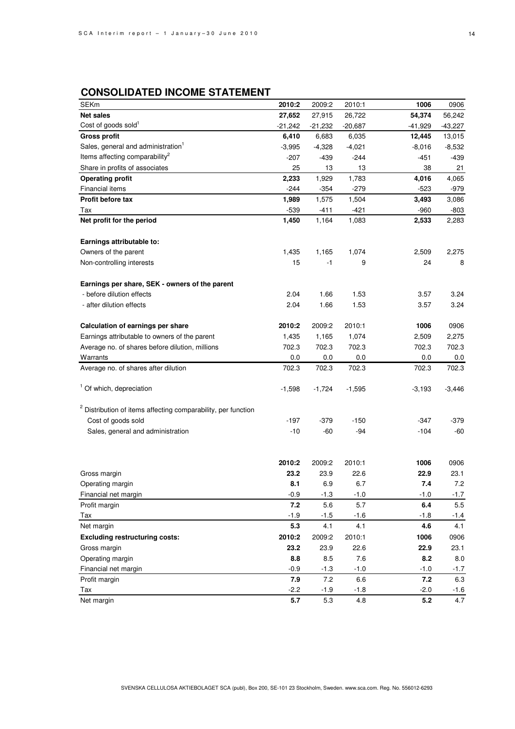# **CONSOLIDATED INCOME STATEMENT**

| <b>SEKm</b>                                                              | 2010:2    | 2009:2    | 2010:1    | 1006      | 0906     |
|--------------------------------------------------------------------------|-----------|-----------|-----------|-----------|----------|
| <b>Net sales</b>                                                         | 27,652    | 27,915    | 26,722    | 54,374    | 56,242   |
| Cost of goods sold <sup>1</sup>                                          | $-21,242$ | $-21,232$ | $-20,687$ | $-41,929$ | -43,227  |
| <b>Gross profit</b>                                                      | 6,410     | 6,683     | 6,035     | 12,445    | 13,015   |
| Sales, general and administration <sup>1</sup>                           | $-3,995$  | $-4,328$  | $-4,021$  | -8,016    | $-8,532$ |
| Items affecting comparability <sup>2</sup>                               | -207      | -439      | -244      | -451      | -439     |
| Share in profits of associates                                           | 25        | 13        | 13        | 38        | 21       |
| <b>Operating profit</b>                                                  | 2,233     | 1,929     | 1,783     | 4,016     | 4,065    |
| <b>Financial items</b>                                                   | $-244$    | $-354$    | $-279$    | -523      | -979     |
| Profit before tax                                                        | 1,989     | 1,575     | 1,504     | 3,493     | 3,086    |
| Tax                                                                      | $-539$    | -411      | $-421$    | -960      | -803     |
| Net profit for the period                                                | 1,450     | 1,164     | 1,083     | 2,533     | 2,283    |
|                                                                          |           |           |           |           |          |
| Earnings attributable to:                                                |           |           |           |           |          |
| Owners of the parent                                                     | 1,435     | 1,165     | 1,074     | 2,509     | 2,275    |
| Non-controlling interests                                                | 15        | -1        | 9         | 24        | 8        |
|                                                                          |           |           |           |           |          |
| Earnings per share, SEK - owners of the parent                           |           |           |           |           |          |
| - before dilution effects                                                | 2.04      | 1.66      | 1.53      | 3.57      | 3.24     |
| - after dilution effects                                                 | 2.04      | 1.66      | 1.53      | 3.57      | 3.24     |
| Calculation of earnings per share                                        | 2010:2    | 2009:2    | 2010:1    | 1006      | 0906     |
| Earnings attributable to owners of the parent                            | 1,435     | 1,165     | 1,074     | 2,509     | 2,275    |
| Average no. of shares before dilution, millions                          | 702.3     | 702.3     | 702.3     | 702.3     | 702.3    |
| Warrants                                                                 | 0.0       | 0.0       | 0.0       | 0.0       | 0.0      |
| Average no. of shares after dilution                                     | 702.3     | 702.3     | 702.3     | 702.3     | 702.3    |
|                                                                          |           |           |           |           |          |
| <sup>1</sup> Of which, depreciation                                      | $-1,598$  | $-1,724$  | $-1,595$  | $-3,193$  | $-3,446$ |
|                                                                          |           |           |           |           |          |
| <sup>2</sup> Distribution of items affecting comparability, per function |           |           |           |           |          |
| Cost of goods sold                                                       | -197      | -379      | -150      | -347      | -379     |
| Sales, general and administration                                        | $-10$     | $-60$     | $-94$     | $-104$    | -60      |
|                                                                          |           |           |           |           |          |
|                                                                          | 2010:2    | 2009:2    | 2010:1    | 1006      | 0906     |
| Gross margin                                                             | 23.2      | 23.9      | 22.6      | 22.9      | 23.1     |
| Operating margin                                                         | 8.1       | 6.9       | 6.7       | 7.4       | 7.2      |
| Financial net margin                                                     | $-0.9$    | $-1.3$    | $-1.0$    | $-1.0$    | $-1.7$   |
| Profit margin                                                            | 7.2       | 5.6       | 5.7       | 6.4       | 5.5      |
| Tax                                                                      | $-1.9$    | $-1.5$    | $-1.6$    | $-1.8$    | $-1.4$   |
| Net margin                                                               | 5.3       | 4.1       | 4.1       | 4.6       | 4.1      |
| <b>Excluding restructuring costs:</b>                                    | 2010:2    | 2009:2    | 2010:1    | 1006      | 0906     |
| Gross margin                                                             | 23.2      | 23.9      | 22.6      | 22.9      | 23.1     |
| Operating margin                                                         | 8.8       | 8.5       | 7.6       | 8.2       | 8.0      |
| Financial net margin                                                     | $-0.9$    | $-1.3$    | $-1.0$    | $-1.0$    | $-1.7$   |
| Profit margin                                                            | 7.9       | 7.2       | 6.6       | 7.2       | 6.3      |
| Tax                                                                      | $-2.2$    | $-1.9$    | $-1.8$    | $-2.0$    | $-1.6$   |
| Net margin                                                               | 5.7       | 5.3       | 4.8       | 5.2       | 4.7      |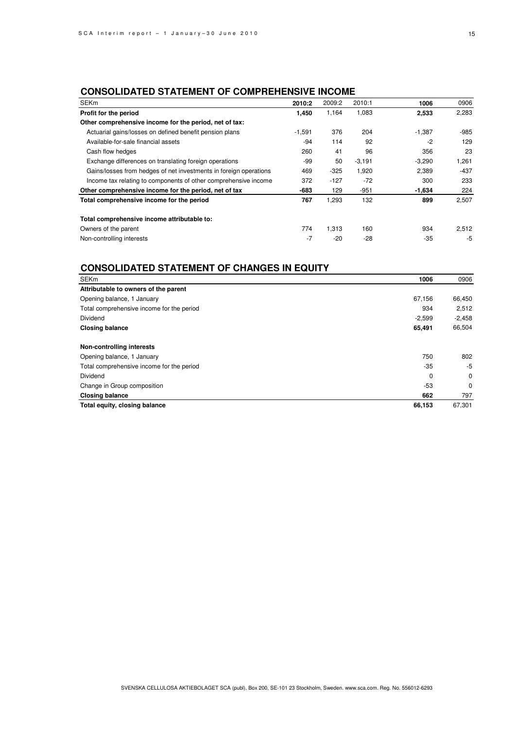### **CONSOLIDATED STATEMENT OF COMPREHENSIVE INCOME**

| <b>SEKm</b>                                                       | 2010:2   | 2009:2 | 2010:1   | 1006     | 0906   |
|-------------------------------------------------------------------|----------|--------|----------|----------|--------|
| Profit for the period                                             | 1,450    | 1,164  | 1,083    | 2,533    | 2,283  |
| Other comprehensive income for the period, net of tax:            |          |        |          |          |        |
| Actuarial gains/losses on defined benefit pension plans           | $-1,591$ | 376    | 204      | $-1,387$ | $-985$ |
| Available-for-sale financial assets                               | -94      | 114    | 92       | $-2$     | 129    |
| Cash flow hedges                                                  | 260      | 41     | 96       | 356      | 23     |
| Exchange differences on translating foreign operations            | -99      | 50     | $-3,191$ | $-3,290$ | 1,261  |
| Gains/losses from hedges of net investments in foreign operations | 469      | $-325$ | 1,920    | 2,389    | $-437$ |
| Income tax relating to components of other comprehensive income   | 372      | $-127$ | $-72$    | 300      | 233    |
| Other comprehensive income for the period, net of tax             | $-683$   | 129    | $-951$   | $-1,634$ | 224    |
| Total comprehensive income for the period                         | 767      | 1,293  | 132      | 899      | 2,507  |
| Total comprehensive income attributable to:                       |          |        |          |          |        |
| Owners of the parent                                              | 774      | 1,313  | 160      | 934      | 2,512  |
| Non-controlling interests                                         | $-7$     | $-20$  | $-28$    | $-35$    | $-5$   |

## **CONSOLIDATED STATEMENT OF CHANGES IN EQUITY**

| <b>SEKm</b>                               | 1006     | 0906        |
|-------------------------------------------|----------|-------------|
| Attributable to owners of the parent      |          |             |
| Opening balance, 1 January                | 67,156   | 66,450      |
| Total comprehensive income for the period | 934      | 2,512       |
| Dividend                                  | $-2,599$ | $-2,458$    |
| <b>Closing balance</b>                    | 65,491   | 66,504      |
| Non-controlling interests                 |          |             |
| Opening balance, 1 January                | 750      | 802         |
| Total comprehensive income for the period | $-35$    | -5          |
| Dividend                                  | 0        | $\mathbf 0$ |
| Change in Group composition               | -53      | $\mathbf 0$ |
| <b>Closing balance</b>                    | 662      | 797         |
| Total equity, closing balance             | 66,153   | 67,301      |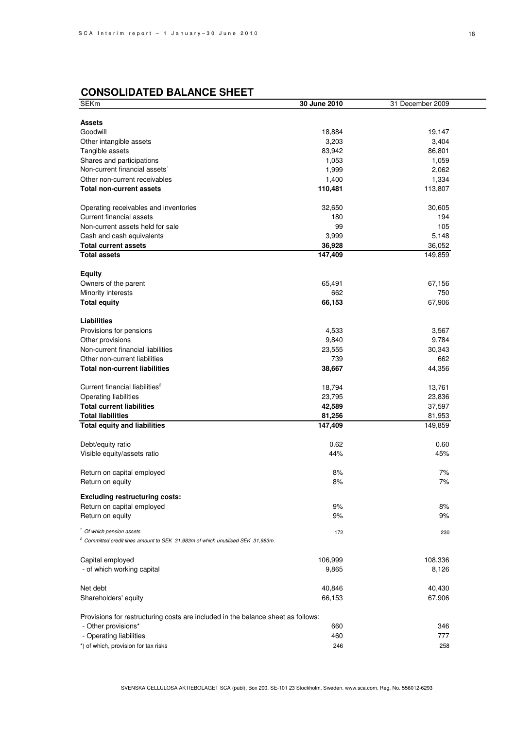# **CONSOLIDATED BALANCE SHEET**

| <b>SEKm</b>                                                                                | 30 June 2010 | 31 December 2009 |
|--------------------------------------------------------------------------------------------|--------------|------------------|
|                                                                                            |              |                  |
| <b>Assets</b>                                                                              |              |                  |
| Goodwill                                                                                   | 18,884       | 19,147           |
| Other intangible assets                                                                    | 3,203        | 3,404            |
| Tangible assets                                                                            | 83,942       | 86,801           |
| Shares and participations                                                                  | 1,053        | 1,059            |
| Non-current financial assets <sup>1</sup>                                                  | 1,999        | 2,062            |
| Other non-current receivables                                                              | 1,400        | 1,334            |
| <b>Total non-current assets</b>                                                            | 110,481      | 113,807          |
|                                                                                            |              |                  |
| Operating receivables and inventories                                                      | 32,650       | 30,605           |
| Current financial assets                                                                   | 180          | 194              |
| Non-current assets held for sale                                                           | 99           | 105              |
| Cash and cash equivalents                                                                  | 3,999        | 5,148            |
| <b>Total current assets</b>                                                                | 36,928       | 36,052           |
| <b>Total assets</b>                                                                        | 147,409      | 149,859          |
|                                                                                            |              |                  |
| <b>Equity</b>                                                                              |              |                  |
| Owners of the parent                                                                       | 65,491       | 67,156           |
| Minority interests                                                                         | 662          | 750              |
| <b>Total equity</b>                                                                        | 66,153       | 67,906           |
|                                                                                            |              |                  |
| <b>Liabilities</b>                                                                         |              |                  |
|                                                                                            |              | 3,567            |
| Provisions for pensions                                                                    | 4,533        |                  |
| Other provisions                                                                           | 9,840        | 9,784            |
| Non-current financial liabilities                                                          | 23,555       | 30,343           |
| Other non-current liabilities                                                              | 739          | 662              |
| <b>Total non-current liabilities</b>                                                       | 38,667       | 44,356           |
|                                                                                            |              |                  |
| Current financial liabilities <sup>2</sup>                                                 | 18,794       | 13,761           |
| Operating liabilities                                                                      | 23,795       | 23,836           |
| <b>Total current liabilities</b>                                                           | 42,589       | 37,597           |
| <b>Total liabilities</b>                                                                   | 81,256       | 81,953           |
| <b>Total equity and liabilities</b>                                                        | 147,409      | 149,859          |
|                                                                                            |              |                  |
| Debt/equity ratio                                                                          | 0.62         | 0.60             |
| Visible equity/assets ratio                                                                | 44%          | 45%              |
|                                                                                            |              |                  |
| Return on capital employed                                                                 | 8%           | 7%               |
| Return on equity                                                                           | 8%           | 7%               |
| <b>Excluding restructuring costs:</b>                                                      |              |                  |
| Return on capital employed                                                                 | 9%           | 8%               |
| Return on equity                                                                           | 9%           | 9%               |
|                                                                                            |              |                  |
| <sup>1</sup> Of which pension assets                                                       | 172          | 230              |
| <sup>2</sup> Committed credit lines amount to SEK 31,983m of which unutilised SEK 31,983m. |              |                  |
|                                                                                            |              |                  |
| Capital employed                                                                           | 106,999      | 108,336          |
| - of which working capital                                                                 | 9,865        | 8,126            |
|                                                                                            |              |                  |
| Net debt                                                                                   | 40,846       | 40,430           |
| Shareholders' equity                                                                       |              | 67,906           |
|                                                                                            | 66,153       |                  |
| Provisions for restructuring costs are included in the balance sheet as follows:           |              |                  |
|                                                                                            | 660          |                  |
| - Other provisions*                                                                        |              | 346              |
| - Operating liabilities                                                                    | 460          | 777              |
| *) of which, provision for tax risks                                                       | 246          | 258              |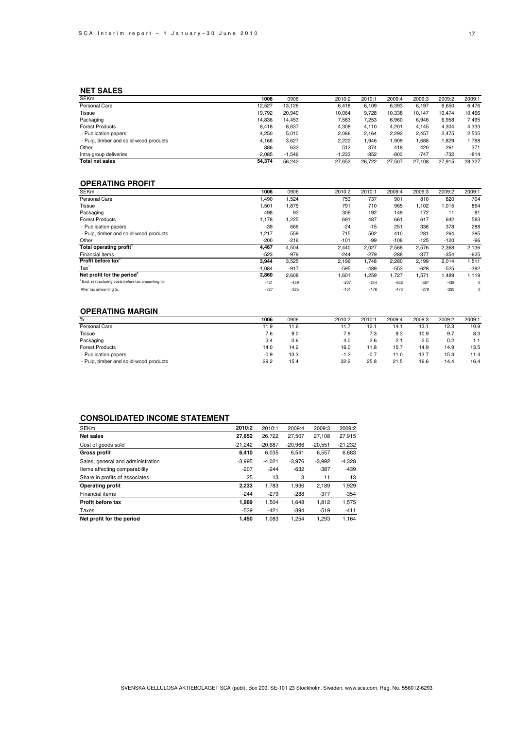### **NET SALES**

| <b>SEKm</b>                            | 1006     | 0906     | 2010:2   | 2010:1 | 2009:4 | 2009:3 | 2009:2 | 2009:1 |
|----------------------------------------|----------|----------|----------|--------|--------|--------|--------|--------|
| Personal Care                          | 12.527   | 13.126   | 6,418    | 6.109  | 6,393  | 6,197  | 6,650  | 6,476  |
| Tissue                                 | 19.792   | 20.940   | 10.064   | 9.728  | 10.338 | 10.147 | 10.474 | 10.466 |
| Packaging                              | 14.836   | 14.453   | 7.583    | 7.253  | 6.960  | 6,946  | 6,958  | 7,495  |
| <b>Forest Products</b>                 | 8,418    | 8,637    | 4,308    | 4.110  | 4,201  | 4,145  | 4,304  | 4,333  |
| - Publication papers                   | 4.250    | 5.010    | 2.086    | 2.164  | 2.292  | 2.457  | 2.475  | 2.535  |
| - Pulp, timber and solid-wood products | 4.168    | 3.627    | 2.222    | .946   | ,909   | 886,1  | 1,829  | 1,798  |
| Other                                  | 886      | 632      | 512      | 374    | 418    | 420    | 261    | 371    |
| Intra-group deliveries                 | $-2.085$ | $-1.546$ | $-1.233$ | $-852$ | $-803$ | $-747$ | $-732$ | $-814$ |
| <b>Total net sales</b>                 | 54.374   | 56.242   | 27.652   | 26.722 | 27.507 | 27.108 | 27.915 | 28.327 |

### **OPERATING PROFIT**

| <b>SEKm</b>                                        | 1006     | 0906   | 2010:2 | 2010:1 | 2009:4 | 2009:3 | 2009:2 | 2009:1 |
|----------------------------------------------------|----------|--------|--------|--------|--------|--------|--------|--------|
| Personal Care                                      | 1,490    | 1,524  | 753    | 737    | 901    | 810    | 820    | 704    |
| Tissue                                             | 1,501    | 1.879  | 791    | 710    | 965    | 1,102  | 1,015  | 864    |
| Packaging                                          | 498      | 92     | 306    | 192    | 149    | 172    | 11     | 81     |
| <b>Forest Products</b>                             | 1,178    | 1,225  | 691    | 487    | 661    | 617    | 642    | 583    |
| - Publication papers                               | $-39$    | 666    | $-24$  | $-15$  | 251    | 336    | 378    | 288    |
| - Pulp, timber and solid-wood products             | 1.217    | 559    | 715    | 502    | 410    | 281    | 264    | 295    |
| Other                                              | $-200$   | $-216$ | $-101$ | -99    | $-108$ | $-125$ | $-120$ | $-96$  |
| Total operating profit'                            | 4.467    | 4,504  | 2.440  | 2,027  | 2,568  | 2,576  | 2,368  | 2,136  |
| Financial items                                    | $-523$   | $-979$ | $-244$ | $-279$ | $-288$ | $-377$ | $-354$ | $-625$ |
| Profit before tax'                                 | 3,944    | 3,525  | 2,196  | 1,748  | 2,280  | 2,199  | 2,014  | 1,511  |
| $\text{Tax}^1$                                     | $-1,084$ | $-917$ | $-595$ | $-489$ | $-553$ | $-628$ | $-525$ | $-392$ |
| Net profit for the period <sup>1</sup>             | 2,860    | 2,608  | 1,601  | 1,259  | 1,727  | 1,571  | 1,489  | 1,119  |
| Excl. restructuring costs before tax amounting to: | $-451$   | $-439$ | $-207$ | $-244$ | $-632$ | $-387$ | $-439$ | 0      |
| After tax amounting to:                            | $-327$   | $-325$ | $-151$ | $-176$ | $-473$ | $-278$ | $-325$ | 0      |

#### **OPERATING MARGIN**

| %                                      | 1006   | 0906 | 2010:2 | 2010:1 | 2009:4 | 2009:3 | 2009:2 | 2009:1 |
|----------------------------------------|--------|------|--------|--------|--------|--------|--------|--------|
| Personal Care                          | 11.9   | 11.6 | 11.7   | 12.7   | 14.1   | 13.7   | 12.3   | 10.9   |
| Tissue                                 | 7.6    | 9.0  | 7.9    | 7.3    | 9.3    | 10.9   | 9.7    | 8.3    |
| Packaging                              | 3.4    | 0.6  | 4.0    | 2.6    | 2.1    | 2.5    | 0.2    | 1.1    |
| <b>Forest Products</b>                 | 14.0   | 14.2 | 16.0   | 11.8   | 15.7   | 14.9   | 14.9   | 13.5   |
| - Publication papers                   | $-0.9$ | 13.3 | $-1.2$ | $-0.7$ | 11.0   | 13.7   | 15.3   | 11.4   |
| - Pulp, timber and solid-wood products | 29.2   | 15.4 | 32.2   | 25.8   | 21.5   | 16.6   | 14.4   | 16.4   |
|                                        |        |      |        |        |        |        |        |        |

### **CONSOLIDATED INCOME STATEMENT**

| <b>SEKm</b>                       | 2010:2    | 2010:1    | 2009:4    | 2009:3    | 2009:2    |
|-----------------------------------|-----------|-----------|-----------|-----------|-----------|
| <b>Net sales</b>                  | 27,652    | 26.722    | 27,507    | 27,108    | 27,915    |
| Cost of goods sold                | $-21.242$ | $-20.687$ | $-20.966$ | $-20.551$ | $-21.232$ |
| <b>Gross profit</b>               | 6.410     | 6,035     | 6,541     | 6,557     | 6,683     |
| Sales, general and administration | $-3.995$  | $-4.021$  | $-3.976$  | $-3.992$  | $-4.328$  |
| Items affecting comparability     | $-207$    | $-244$    | $-632$    | $-387$    | $-439$    |
| Share in profits of associates    | 25        | 13        | 3         | 11        | 13        |
| <b>Operating profit</b>           | 2,233     | 1.783     | 1,936     | 2.189     | 1,929     |
| Financial items                   | $-244$    | $-279$    | $-288$    | $-377$    | $-354$    |
| Profit before tax                 | 1.989     | 1.504     | 1.648     | 1.812     | 1,575     |
| Taxes                             | $-539$    | $-421$    | $-394$    | $-519$    | $-411$    |
| Net profit for the period         | 1.450     | 1.083     | 1.254     | 1.293     | 1.164     |